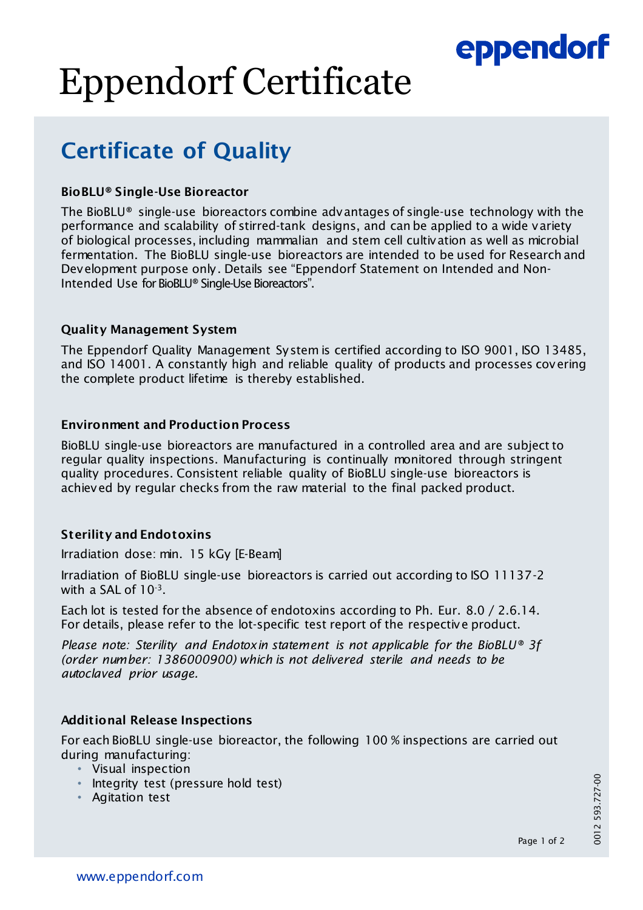## eppendorf

# Eppendorf Certificate

### Certificate of Quality

#### BioBLU® Single-Use Bioreactor

The BioBLU® single-use bioreactors combine advantages of single-use technology with the performance and scalability of stirred-tank designs, and can be applied to a wide variety of biological processes, including mammalian and stem cell cultivation as well as microbial fermentation. The BioBLU single-use bioreactors are intended to be used for Research and Development purpose only. Details see "Eppendorf Statement on Intended and Non-Intended Use for BioBLU® Single-Use Bioreactors".

#### Quality Management System

The Eppendorf Quality Management System is certified according to ISO 9001, ISO 13485, and ISO 14001. A constantly high and reliable quality of products and processes covering the complete product lifetime is thereby established.

#### Environment and Production Process

BioBLU single-use bioreactors are manufactured in a controlled area and are subject to regular quality inspections. Manufacturing is continually monitored through stringent quality procedures. Consistent reliable quality of BioBLU single-use bioreactors is achieved by regular checks from the raw material to the final packed product.

#### Sterility and Endotoxins

Irradiation dose: min. 15 kGy [E-Beam]

Irradiation of BioBLU single-use bioreactors is carried out according to ISO 11137-2 with a SAL of 10-3.

Each lot is tested for the absence of endotoxins according to Ph. Eur. 8.0 / 2.6.14. For details, please refer to the lot-specific test report of the respective product.

*Please note: Sterility and Endotoxin statement is not applicable for the BioBLU® 3f (order number: 1386000900) which is not delivered sterile and needs to be autoclaved prior usage.*

#### Additional Release Inspections

For each BioBLU single-use bioreactor, the following 100 % inspections are carried out during manufacturing:

- Visual inspection
- Integrity test (pressure hold test)
- Agitation test

0012 593.727-00 0012 593.727-00